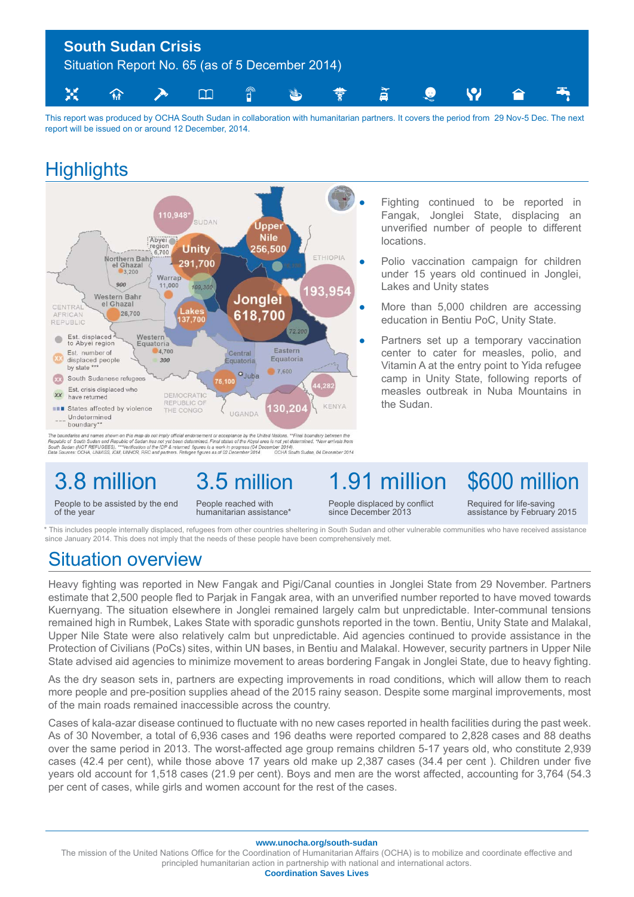

This report was produced by OCHA South Sudan in collaboration with humanitarian partners. It covers the period from 29 Nov-5 Dec. The next report will be issued on or around 12 December, 2014.

## **Highlights**



The boundaries and names shown on this map do not imply official endorsement or acceptance by the United Nations. ""Final boundary between the<br>Republic of South Sudan and Republic of Sudan has not yet been determined. Fina

# 3.8 million

of the year

People to be assisted by the end

People reached with humanitarian assistance\*

3.5 million

1.91 million People displaced by conflict since December 2013

Fighting continued to be reported in Fangak, Jonglei State, displacing an unverified number of people to different locations.

Polio vaccination campaign for children under 15 years old continued in Jonglei, Lakes and Unity states

More than 5,000 children are accessing education in Bentiu PoC, Unity State.

Partners set up a temporary vaccination center to cater for measles, polio, and Vitamin A at the entry point to Yida refugee camp in Unity State, following reports of measles outbreak in Nuba Mountains in the Sudan.

> Required for life-saving assistance by February 2015

\$600 million

This includes people internally displaced, refugees from other countries sheltering in South Sudan and other vulnerable communities who have received assistance since January 2014. This does not imply that the needs of these people have been comprehensively met.

## Situation overview

Heavy fighting was reported in New Fangak and Pigi/Canal counties in Jonglei State from 29 November. Partners estimate that 2,500 people fled to Parjak in Fangak area, with an unverified number reported to have moved towards Kuernyang. The situation elsewhere in Jonglei remained largely calm but unpredictable. Inter-communal tensions remained high in Rumbek, Lakes State with sporadic gunshots reported in the town. Bentiu, Unity State and Malakal, Upper Nile State were also relatively calm but unpredictable. Aid agencies continued to provide assistance in the Protection of Civilians (PoCs) sites, within UN bases, in Bentiu and Malakal. However, security partners in Upper Nile State advised aid agencies to minimize movement to areas bordering Fangak in Jonglei State, due to heavy fighting.

As the dry season sets in, partners are expecting improvements in road conditions, which will allow them to reach more people and pre-position supplies ahead of the 2015 rainy season. Despite some marginal improvements, most of the main roads remained inaccessible across the country.

Cases of kala-azar disease continued to fluctuate with no new cases reported in health facilities during the past week. As of 30 November, a total of 6,936 cases and 196 deaths were reported compared to 2,828 cases and 88 deaths over the same period in 2013. The worst-affected age group remains children 5-17 years old, who constitute 2,939 cases (42.4 per cent), while those above 17 years old make up 2,387 cases (34.4 per cent). Children under five years old account for 1,518 cases (21.9 per cent). Boys and men are the worst affected, accounting for 3,764 (54.3 per cent of cases, while girls and women account for the rest of the cases.

**www.unocha.org/south-sudan**

The mission of the United Nations Office for the Coordination of Humanitarian Affairs (OCHA) is to mobilize and coordinate effective and principled humanitarian action in partnership with national and international actors.

**Coordination Saves Lives**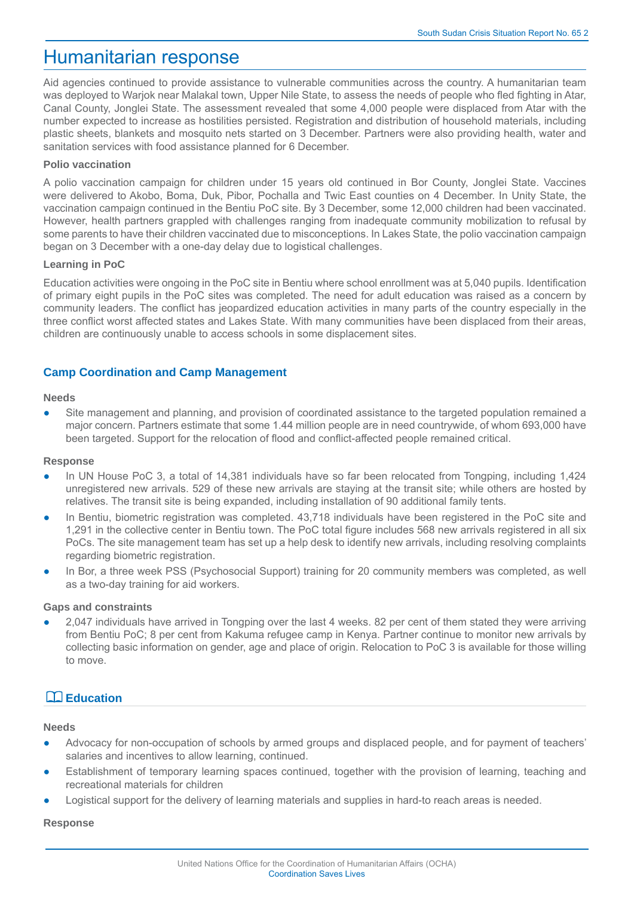## Humanitarian response

Aid agencies continued to provide assistance to vulnerable communities across the country. A humanitarian team was deployed to Warjok near Malakal town, Upper Nile State, to assess the needs of people who fled fighting in Atar, Canal County, Jonglei State. The assessment revealed that some 4,000 people were displaced from Atar with the number expected to increase as hostilities persisted. Registration and distribution of household materials, including plastic sheets, blankets and mosquito nets started on 3 December. Partners were also providing health, water and sanitation services with food assistance planned for 6 December.

#### **Polio vaccination**

A polio vaccination campaign for children under 15 years old continued in Bor County, Jonglei State. Vaccines were delivered to Akobo, Boma, Duk, Pibor, Pochalla and Twic East counties on 4 December. In Unity State, the vaccination campaign continued in the Bentiu PoC site. By 3 December, some 12,000 children had been vaccinated. However, health partners grappled with challenges ranging from inadequate community mobilization to refusal by some parents to have their children vaccinated due to misconceptions. In Lakes State, the polio vaccination campaign began on 3 December with a one-day delay due to logistical challenges.

#### **Learning in PoC**

Education activities were ongoing in the PoC site in Bentiu where school enrollment was at 5,040 pupils. Identification of primary eight pupils in the PoC sites was completed. The need for adult education was raised as a concern by community leaders. The conflict has jeopardized education activities in many parts of the country especially in the three conflict worst affected states and Lakes State. With many communities have been displaced from their areas, children are continuously unable to access schools in some displacement sites.

#### **Camp Coordination and Camp Management**

#### **Needs**

• Site management and planning, and provision of coordinated assistance to the targeted population remained a major concern. Partners estimate that some 1.44 million people are in need countrywide, of whom 693,000 have been targeted. Support for the relocation of flood and conflict-affected people remained critical.

#### **Response**

- In UN House PoC 3, a total of 14,381 individuals have so far been relocated from Tongping, including 1,424 unregistered new arrivals. 529 of these new arrivals are staying at the transit site; while others are hosted by relatives. The transit site is being expanded, including installation of 90 additional family tents.
- In Bentiu, biometric registration was completed. 43,718 individuals have been registered in the PoC site and 1,291 in the collective center in Bentiu town. The PoC total figure includes 568 new arrivals registered in all six PoCs. The site management team has set up a help desk to identify new arrivals, including resolving complaints regarding biometric registration.
- In Bor, a three week PSS (Psychosocial Support) training for 20 community members was completed, as well as a two-day training for aid workers.

#### **Gaps and constraints**

2,047 individuals have arrived in Tongping over the last 4 weeks. 82 per cent of them stated they were arriving from Bentiu PoC; 8 per cent from Kakuma refugee camp in Kenya. Partner continue to monitor new arrivals by collecting basic information on gender, age and place of origin. Relocation to PoC 3 is available for those willing to move.

### **Education**

#### **Needs**

- Advocacy for non-occupation of schools by armed groups and displaced people, and for payment of teachers' salaries and incentives to allow learning, continued.
- Establishment of temporary learning spaces continued, together with the provision of learning, teaching and recreational materials for children
- Logistical support for the delivery of learning materials and supplies in hard-to reach areas is needed.

#### **Response**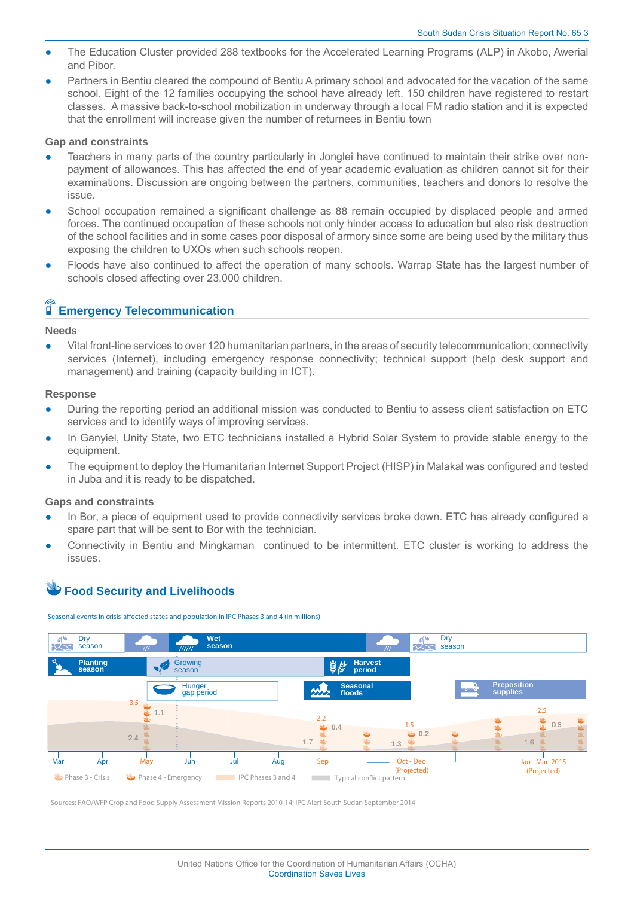- The Education Cluster provided 288 textbooks for the Accelerated Learning Programs (ALP) in Akobo, Awerial and Pibor.
- Partners in Bentiu cleared the compound of Bentiu A primary school and advocated for the vacation of the same school. Eight of the 12 families occupying the school have already left. 150 children have registered to restart classes. A massive back-to-school mobilization in underway through a local FM radio station and it is expected that the enrollment will increase given the number of returnees in Bentiu town

#### **Gap and constraints**

- Teachers in many parts of the country particularly in Jonglei have continued to maintain their strike over nonpayment of allowances. This has affected the end of year academic evaluation as children cannot sit for their examinations. Discussion are ongoing between the partners, communities, teachers and donors to resolve the issue.
- School occupation remained a significant challenge as 88 remain occupied by displaced people and armed forces. The continued occupation of these schools not only hinder access to education but also risk destruction of the school facilities and in some cases poor disposal of armory since some are being used by the military thus exposing the children to UXOs when such schools reopen.
- Floods have also continued to affect the operation of many schools. Warrap State has the largest number of schools closed affecting over 23,000 children.

#### Ĩ  **Emergency Telecommunication**

#### **Needs**

Vital front-line services to over 120 humanitarian partners, in the areas of security telecommunication; connectivity services (Internet), including emergency response connectivity; technical support (help desk support and management) and training (capacity building in ICT).

#### **Response**

- During the reporting period an additional mission was conducted to Bentiu to assess client satisfaction on ETC services and to identify ways of improving services.
- In Ganyiel, Unity State, two ETC technicians installed a Hybrid Solar System to provide stable energy to the equipment.
- The equipment to deploy the Humanitarian Internet Support Project (HISP) in Malakal was configured and tested in Juba and it is ready to be dispatched.

#### **Gaps and constraints**

- In Bor, a piece of equipment used to provide connectivity services broke down. ETC has already configured a spare part that will be sent to Bor with the technician.
- Connectivity in Bentiu and Mingkaman continued to be intermittent. ETC cluster is working to address the issues.

### **Food Security and Livelihoods**





Sources: FAO/WFP Crop and Food Supply Assessment Mission Reports 2010-14; IPC Alert South Sudan September 2014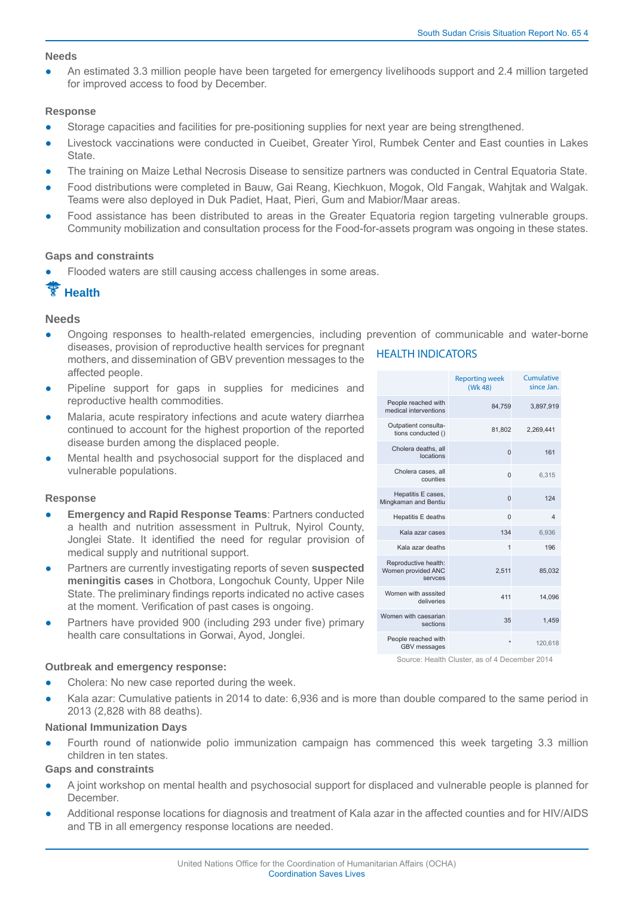#### **Needs**

An estimated 3.3 million people have been targeted for emergency livelihoods support and 2.4 million targeted for improved access to food by December.

#### **Response**

- Storage capacities and facilities for pre-positioning supplies for next year are being strengthened.
- Livestock vaccinations were conducted in Cueibet, Greater Yirol, Rumbek Center and East counties in Lakes State.
- The training on Maize Lethal Necrosis Disease to sensitize partners was conducted in Central Equatoria State.
- Food distributions were completed in Bauw, Gai Reang, Kiechkuon, Mogok, Old Fangak, Wahjtak and Walgak. Teams were also deployed in Duk Padiet, Haat, Pieri, Gum and Mabior/Maar areas.
- Food assistance has been distributed to areas in the Greater Equatoria region targeting vulnerable groups. Community mobilization and consultation process for the Food-for-assets program was ongoing in these states.

#### **Gaps and constraints**

affected people.

Flooded waters are still causing access challenges in some areas.

## **Health**

#### **Needs**

- Ongoing responses to health-related emergencies, including prevention of communicable and water-borne diseases, provision of reproductive health services for pregnant **HEALTH INDICATORS** mothers, and dissemination of GBV prevention messages to the
- Pipeline support for gaps in supplies for medicines and reproductive health commodities.
- Malaria, acute respiratory infections and acute watery diarrhea continued to account for the highest proportion of the reported disease burden among the displaced people.
- Mental health and psychosocial support for the displaced and vulnerable populations.

#### **Response**

- **Emergency and Rapid Response Teams: Partners conducted** a health and nutrition assessment in Pultruk, Nyirol County, Jonglei State. It identified the need for regular provision of medical supply and nutritional support.
- Partners are currently investigating reports of seven **suspected meningitis cases** in Chotbora, Longochuk County, Upper Nile State. The preliminary findings reports indicated no active cases at the moment. Verification of past cases is ongoing.
- Partners have provided 900 (including 293 under five) primary health care consultations in Gorwai, Ayod, Jonglei.

#### **Outbreak and emergency response:**

- Cholera: No new case reported during the week.
- Kala azar: Cumulative patients in 2014 to date: 6,936 and is more than double compared to the same period in 2013 (2,828 with 88 deaths).

#### **National Immunization Days**

Fourth round of nationwide polio immunization campaign has commenced this week targeting 3.3 million children in ten states.

#### **Gaps and constraints**

- A joint workshop on mental health and psychosocial support for displaced and vulnerable people is planned for December.
- Additional response locations for diagnosis and treatment of Kala azar in the affected counties and for HIV/AIDS and TB in all emergency response locations are needed.

|                                                       | <b>Reporting week</b><br>(Wk 48) | Cumulative<br>since Jan. |
|-------------------------------------------------------|----------------------------------|--------------------------|
| People reached with<br>medical interventions          | 84,759                           | 3,897,919                |
| Outpatient consulta-<br>tions conducted ()            | 81,802                           | 2,269,441                |
| Cholera deaths, all<br>locations                      | $\Omega$                         | 161                      |
| Cholera cases, all<br>counties                        | $\Omega$                         | 6.315                    |
| Hepatitis E cases,<br>Mingkaman and Bentiu            | $\Omega$                         | 124                      |
| Hepatitis E deaths                                    | $\Omega$                         | $\overline{4}$           |
| Kala azar cases                                       | 134                              | 6,936                    |
| Kala azar deaths                                      | 1                                | 196                      |
| Reproductive health:<br>Women provided ANC<br>servces | 2.511                            | 85.032                   |
| Women with asssited<br>deliveries                     | 411                              | 14,096                   |
| Women with caesarian<br>sections                      | 35                               | 1.459                    |
| People reached with<br><b>GBV</b> messages            | $\star$                          | 120,618                  |

Source: Health Cluster, as of 4 December 2014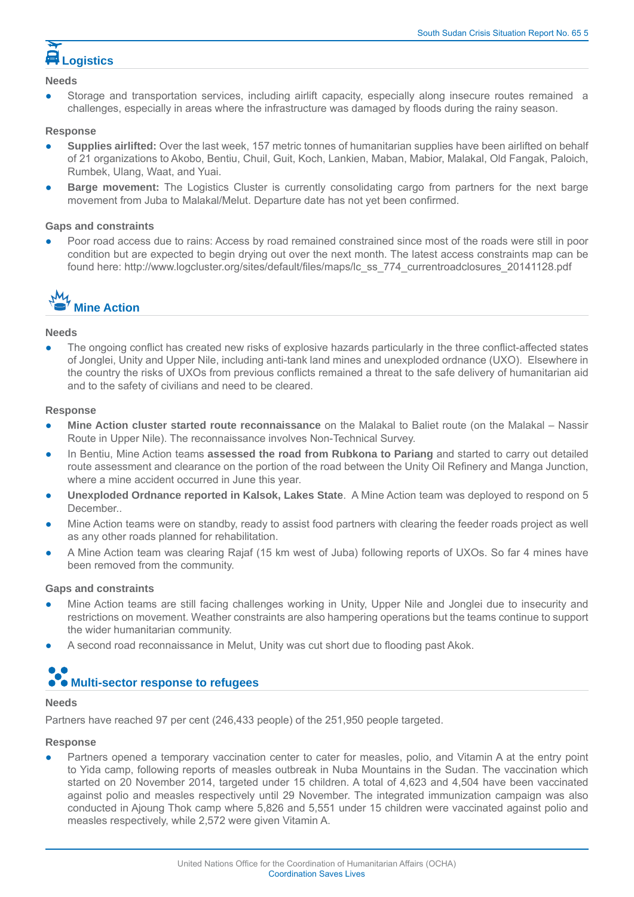# **Logistics**

#### **Needs**

Storage and transportation services, including airlift capacity, especially along insecure routes remained a challenges, especially in areas where the infrastructure was damaged by floods during the rainy season.

#### **Response**

- **Supplies airlifted:** Over the last week, 157 metric tonnes of humanitarian supplies have been airlifted on behalf of 21 organizations to Akobo, Bentiu, Chuil, Guit, Koch, Lankien, Maban, Mabior, Malakal, Old Fangak, Paloich, Rumbek, Ulang, Waat, and Yuai.
- **Barge movement:** The Logistics Cluster is currently consolidating cargo from partners for the next barge movement from Juba to Malakal/Melut. Departure date has not vet been confirmed.

#### **Gaps and constraints**

Poor road access due to rains: Access by road remained constrained since most of the roads were still in poor condition but are expected to begin drying out over the next month. The latest access constraints map can be found here: http://www.logcluster.org/sites/default/files/maps/lc\_ss\_774\_currentroadclosures\_20141128.pdf



#### **Needs**

The ongoing conflict has created new risks of explosive hazards particularly in the three conflict-affected states of Jonglei, Unity and Upper Nile, including anti-tank land mines and unexploded ordnance (UXO). Elsewhere in the country the risks of UXOs from previous conflicts remained a threat to the safe delivery of humanitarian aid and to the safety of civilians and need to be cleared.

#### **Response**

- **Mine Action cluster started route reconnaissance** on the Malakal to Baliet route (on the Malakal Nassir Route in Upper Nile). The reconnaissance involves Non-Technical Survey.
- In Bentiu, Mine Action teams **assessed the road from Rubkona to Pariang** and started to carry out detailed route assessment and clearance on the portion of the road between the Unity Oil Refinery and Manga Junction, where a mine accident occurred in June this year.
- **Unexploded Ordnance reported in Kalsok, Lakes State**. A Mine Action team was deployed to respond on 5 December..
- Mine Action teams were on standby, ready to assist food partners with clearing the feeder roads project as well as any other roads planned for rehabilitation.
- A Mine Action team was clearing Rajaf (15 km west of Juba) following reports of UXOs. So far 4 mines have been removed from the community.

#### **Gaps and constraints**

- Mine Action teams are still facing challenges working in Unity, Upper Nile and Jonglei due to insecurity and restrictions on movement. Weather constraints are also hampering operations but the teams continue to support the wider humanitarian community.
- A second road reconnaissance in Melut, Unity was cut short due to flooding past Akok.

# **Multi-sector response to refugees**

#### **Needs**

Partners have reached 97 per cent (246,433 people) of the 251,950 people targeted.

#### **Response**

Partners opened a temporary vaccination center to cater for measles, polio, and Vitamin A at the entry point to Yida camp, following reports of measles outbreak in Nuba Mountains in the Sudan. The vaccination which started on 20 November 2014, targeted under 15 children. A total of 4,623 and 4,504 have been vaccinated against polio and measles respectively until 29 November. The integrated immunization campaign was also conducted in Ajoung Thok camp where 5,826 and 5,551 under 15 children were vaccinated against polio and measles respectively, while 2,572 were given Vitamin A.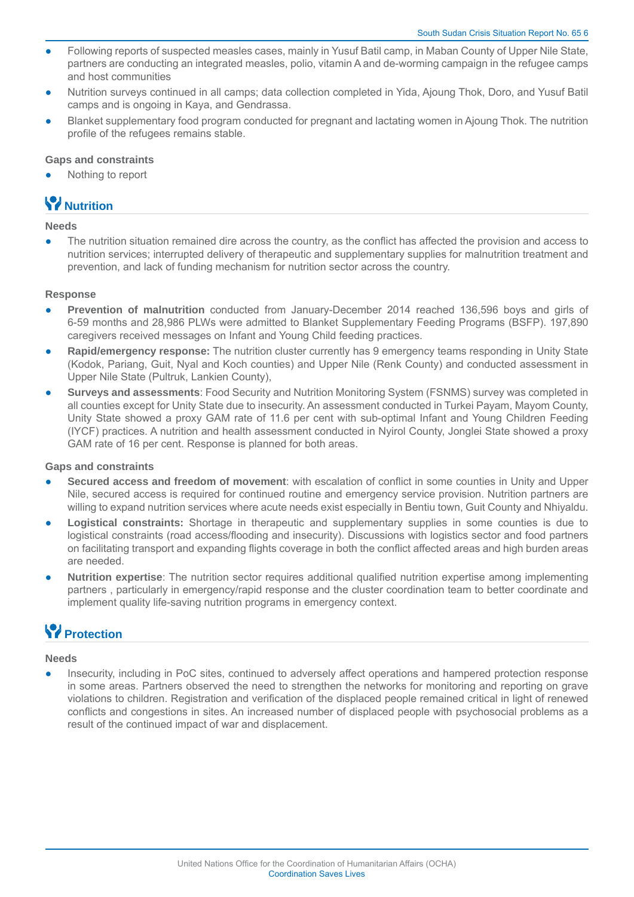- Following reports of suspected measles cases, mainly in Yusuf Batil camp, in Maban County of Upper Nile State, partners are conducting an integrated measles, polio, vitamin A and de-worming campaign in the refugee camps and host communities
- Nutrition surveys continued in all camps; data collection completed in Yida, Ajoung Thok, Doro, and Yusuf Batil camps and is ongoing in Kaya, and Gendrassa.
- Blanket supplementary food program conducted for pregnant and lactating women in Ajoung Thok. The nutrition profile of the refugees remains stable.

#### **Gaps and constraints**

Nothing to report

## **Nutrition**

#### **Needs**

The nutrition situation remained dire across the country, as the conflict has affected the provision and access to nutrition services; interrupted delivery of therapeutic and supplementary supplies for malnutrition treatment and prevention, and lack of funding mechanism for nutrition sector across the country.

#### **Response**

- Prevention of malnutrition conducted from January-December 2014 reached 136,596 boys and girls of 6-59 months and 28,986 PLWs were admitted to Blanket Supplementary Feeding Programs (BSFP). 197,890 caregivers received messages on Infant and Young Child feeding practices.
- **Rapid/emergency response:** The nutrition cluster currently has 9 emergency teams responding in Unity State (Kodok, Pariang, Guit, Nyal and Koch counties) and Upper Nile (Renk County) and conducted assessment in Upper Nile State (Pultruk, Lankien County),
- **Surveys and assessments: Food Security and Nutrition Monitoring System (FSNMS) survey was completed in** all counties except for Unity State due to insecurity. An assessment conducted in Turkei Payam, Mayom County, Unity State showed a proxy GAM rate of 11.6 per cent with sub-optimal Infant and Young Children Feeding (IYCF) practices. A nutrition and health assessment conducted in Nyirol County, Jonglei State showed a proxy GAM rate of 16 per cent. Response is planned for both areas.

#### **Gaps and constraints**

- **Secured access and freedom of movement**: with escalation of conflict in some counties in Unity and Upper Nile, secured access is required for continued routine and emergency service provision. Nutrition partners are willing to expand nutrition services where acute needs exist especially in Bentiu town, Guit County and Nhiyaldu.
- **Logistical constraints:** Shortage in therapeutic and supplementary supplies in some counties is due to logistical constraints (road access/flooding and insecurity). Discussions with logistics sector and food partners on facilitating transport and expanding flights coverage in both the conflict affected areas and high burden areas are needed.
- **Nutrition expertise**: The nutrition sector requires additional qualified nutrition expertise among implementing partners , particularly in emergency/rapid response and the cluster coordination team to better coordinate and implement quality life-saving nutrition programs in emergency context.

## *<u>P* Protection</u>

#### **Needs**

Insecurity, including in PoC sites, continued to adversely affect operations and hampered protection response in some areas. Partners observed the need to strengthen the networks for monitoring and reporting on grave violations to children. Registration and verification of the displaced people remained critical in light of renewed conflicts and congestions in sites. An increased number of displaced people with psychosocial problems as a result of the continued impact of war and displacement.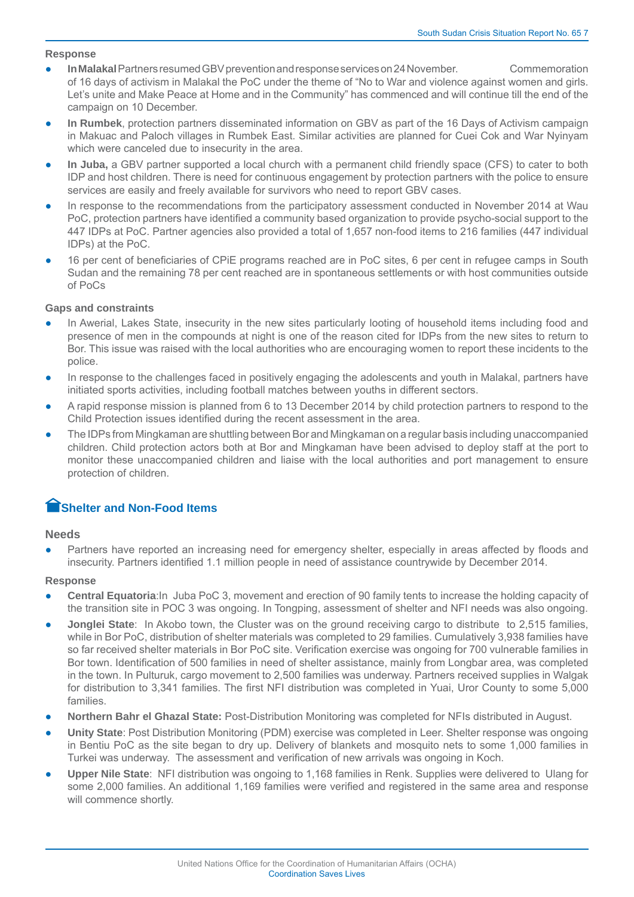#### **Response**

- **In Malakal** Partners resumed GBV prevention and response services on 24 November. Commemoration of 16 days of activism in Malakal the PoC under the theme of "No to War and violence against women and girls. Let's unite and Make Peace at Home and in the Community" has commenced and will continue till the end of the campaign on 10 December.
- In Rumbek, protection partners disseminated information on GBV as part of the 16 Days of Activism campaign in Makuac and Paloch villages in Rumbek East. Similar activities are planned for Cuei Cok and War Nyinyam which were canceled due to insecurity in the area.
- **In Juba,** a GBV partner supported a local church with a permanent child friendly space (CFS) to cater to both IDP and host children. There is need for continuous engagement by protection partners with the police to ensure services are easily and freely available for survivors who need to report GBV cases.
- In response to the recommendations from the participatory assessment conducted in November 2014 at Wau PoC, protection partners have identified a community based organization to provide psycho-social support to the 447 IDPs at PoC. Partner agencies also provided a total of 1,657 non-food items to 216 families (447 individual IDPs) at the PoC.
- 16 per cent of beneficiaries of CPIE programs reached are in PoC sites, 6 per cent in refugee camps in South Sudan and the remaining 78 per cent reached are in spontaneous settlements or with host communities outside of PoCs

#### **Gaps and constraints**

- In Awerial, Lakes State, insecurity in the new sites particularly looting of household items including food and presence of men in the compounds at night is one of the reason cited for IDPs from the new sites to return to Bor. This issue was raised with the local authorities who are encouraging women to report these incidents to the police.
- In response to the challenges faced in positively engaging the adolescents and youth in Malakal, partners have initiated sports activities, including football matches between youths in different sectors.
- A rapid response mission is planned from 6 to 13 December 2014 by child protection partners to respond to the Child Protection issues identified during the recent assessment in the area.
- The IDPs from Mingkaman are shuttling between Bor and Mingkaman on a regular basis including unaccompanied children. Child protection actors both at Bor and Mingkaman have been advised to deploy staff at the port to monitor these unaccompanied children and liaise with the local authorities and port management to ensure protection of children.

### **Shelter and Non-Food Items**

#### **Needs**

Partners have reported an increasing need for emergency shelter, especially in areas affected by floods and insecurity. Partners identified 1.1 million people in need of assistance countrywide by December 2014.

#### **Response**

- **Central Equatoria:** In Juba PoC 3, movement and erection of 90 family tents to increase the holding capacity of the transition site in POC 3 was ongoing. In Tongping, assessment of shelter and NFI needs was also ongoing.
- **Jonglei State**: In Akobo town, the Cluster was on the ground receiving cargo to distribute to 2,515 families, while in Bor PoC, distribution of shelter materials was completed to 29 families. Cumulatively 3,938 families have so far received shelter materials in Bor PoC site. Verification exercise was ongoing for 700 vulnerable families in Bor town. Identification of 500 families in need of shelter assistance, mainly from Longbar area, was completed in the town. In Pulturuk, cargo movement to 2,500 families was underway. Partners received supplies in Walgak for distribution to 3,341 families. The first NFI distribution was completed in Yuai, Uror County to some 5,000 families.
- **Northern Bahr el Ghazal State:** Post-Distribution Monitoring was completed for NFIs distributed in August.
- **Unity State**: Post Distribution Monitoring (PDM) exercise was completed in Leer. Shelter response was ongoing in Bentiu PoC as the site began to dry up. Delivery of blankets and mosquito nets to some 1,000 families in Turkei was underway. The assessment and verification of new arrivals was ongoing in Koch.
- **Upper Nile State**: NFI distribution was ongoing to 1,168 families in Renk. Supplies were delivered to Ulang for some 2,000 families. An additional 1,169 families were verified and registered in the same area and response will commence shortly.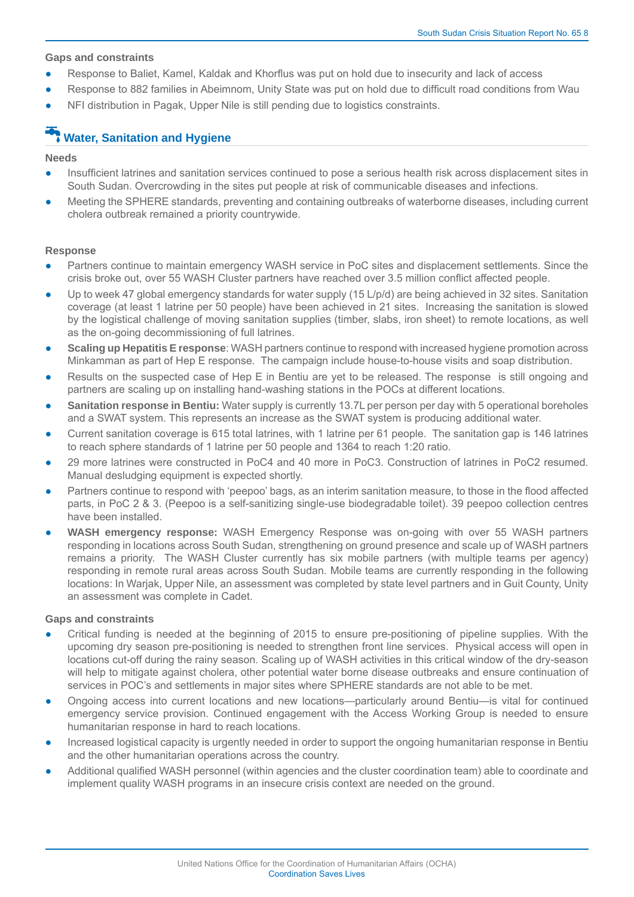#### **Gaps and constraints**

- Response to Baliet, Kamel, Kaldak and Khorflus was put on hold due to insecurity and lack of access
- Response to 882 families in Abeimnom, Unity State was put on hold due to difficult road conditions from Wau
- NFI distribution in Pagak, Upper Nile is still pending due to logistics constraints.

## **Water, Sanitation and Hygiene**

#### **Needs**

- Insufficient latrines and sanitation services continued to pose a serious health risk across displacement sites in South Sudan. Overcrowding in the sites put people at risk of communicable diseases and infections.
- Meeting the SPHERE standards, preventing and containing outbreaks of waterborne diseases, including current cholera outbreak remained a priority countrywide.

#### **Response**

- Partners continue to maintain emergency WASH service in PoC sites and displacement settlements. Since the crisis broke out, over 55 WASH Cluster partners have reached over 3.5 million conflict affected people.
- Up to week 47 global emergency standards for water supply (15 L/p/d) are being achieved in 32 sites. Sanitation coverage (at least 1 latrine per 50 people) have been achieved in 21 sites. Increasing the sanitation is slowed by the logistical challenge of moving sanitation supplies (timber, slabs, iron sheet) to remote locations, as well as the on-going decommissioning of full latrines.
- **Scaling up Hepatitis E response**: WASH partners continue to respond with increased hygiene promotion across Minkamman as part of Hep E response. The campaign include house-to-house visits and soap distribution.
- Results on the suspected case of Hep E in Bentiu are yet to be released. The response is still ongoing and partners are scaling up on installing hand-washing stations in the POCs at different locations.
- **Sanitation response in Bentiu:** Water supply is currently 13.7L per person per day with 5 operational boreholes and a SWAT system. This represents an increase as the SWAT system is producing additional water.
- Current sanitation coverage is 615 total latrines, with 1 latrine per 61 people. The sanitation gap is 146 latrines to reach sphere standards of 1 latrine per 50 people and 1364 to reach 1:20 ratio.
- 29 more latrines were constructed in PoC4 and 40 more in PoC3. Construction of latrines in PoC2 resumed. Manual desludging equipment is expected shortly.
- Partners continue to respond with 'peepoo' bags, as an interim sanitation measure, to those in the flood affected parts, in PoC 2 & 3. (Peepoo is a self-sanitizing single-use biodegradable toilet). 39 peepoo collection centres have been installed.
- **WASH emergency response:** WASH Emergency Response was on-going with over 55 WASH partners responding in locations across South Sudan, strengthening on ground presence and scale up of WASH partners remains a priority. The WASH Cluster currently has six mobile partners (with multiple teams per agency) responding in remote rural areas across South Sudan. Mobile teams are currently responding in the following locations: In Warjak, Upper Nile, an assessment was completed by state level partners and in Guit County, Unity an assessment was complete in Cadet.

#### **Gaps and constraints**

- Critical funding is needed at the beginning of 2015 to ensure pre-positioning of pipeline supplies. With the upcoming dry season pre-positioning is needed to strengthen front line services. Physical access will open in locations cut-off during the rainy season. Scaling up of WASH activities in this critical window of the dry-season will help to mitigate against cholera, other potential water borne disease outbreaks and ensure continuation of services in POC's and settlements in major sites where SPHERE standards are not able to be met.
- Ongoing access into current locations and new locations—particularly around Bentiu—is vital for continued emergency service provision. Continued engagement with the Access Working Group is needed to ensure humanitarian response in hard to reach locations.
- Increased logistical capacity is urgently needed in order to support the ongoing humanitarian response in Bentiu and the other humanitarian operations across the country.
- Additional qualified WASH personnel (within agencies and the cluster coordination team) able to coordinate and implement quality WASH programs in an insecure crisis context are needed on the ground.